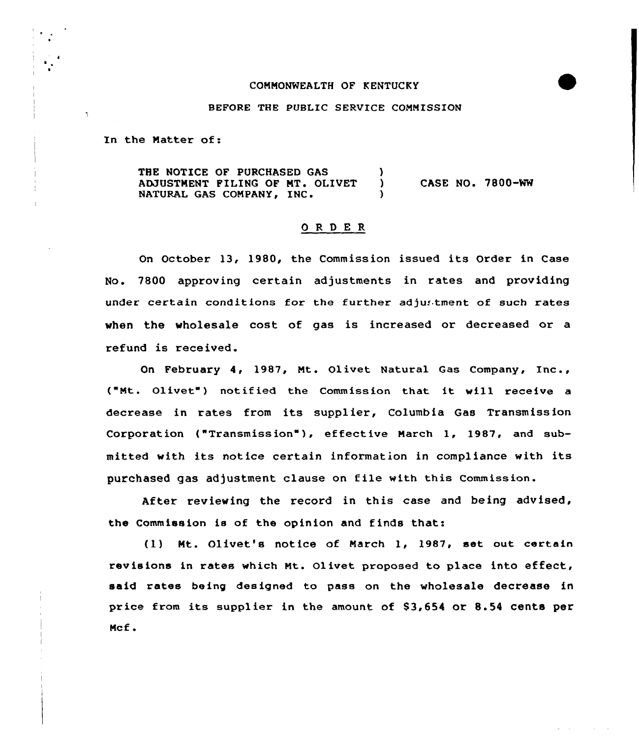## CONNONWEALTH OF KENTUCKY

#### BEFORE THE PUBLIC SERVICE CONNISSION

In the Natter of:

 $\tilde{\mathcal{L}}$ 

THE NOTICE OF PURCHASED GAS (3) ADJUSTMENT FILING OF MT. OLIVET NATURAL GAS COMPANY, INC. CASE NO. 7800-NW

## ORDER

On October 13, 1980, the Commission issued its Order in Case No. 7800 approving certain adjustments in rates and providing under certain conditions for the further adju.'tment of such rates when the wholesale cost of gas is increased or decreased or a refund is received.

On February 4, 1987, Nt. Olivet Natural Gas Company, Inc., ("Mt. Olivet") notified the Commission that it will receive <sup>a</sup> decrease in rates from its supplier, Columbia Gas Transmission Corporation ("Transmission"), effective March 1, 1987, and submitted with its notice certain information in compliance with its purchased gas adjustment clause on file with this Commission.

After reviewing the record in this case and being advised, the Commission is of the opinion and finds that:

(1) Mt. Olivet's notice of March 1, 1987, set out certain revisions in rates which Nt. Ol ivet proposed to place into effeet, said rates being designed to pass on the wholesale decrease in price from its supplier in the amount of \$3,654 or 8.54 cents per Ncf .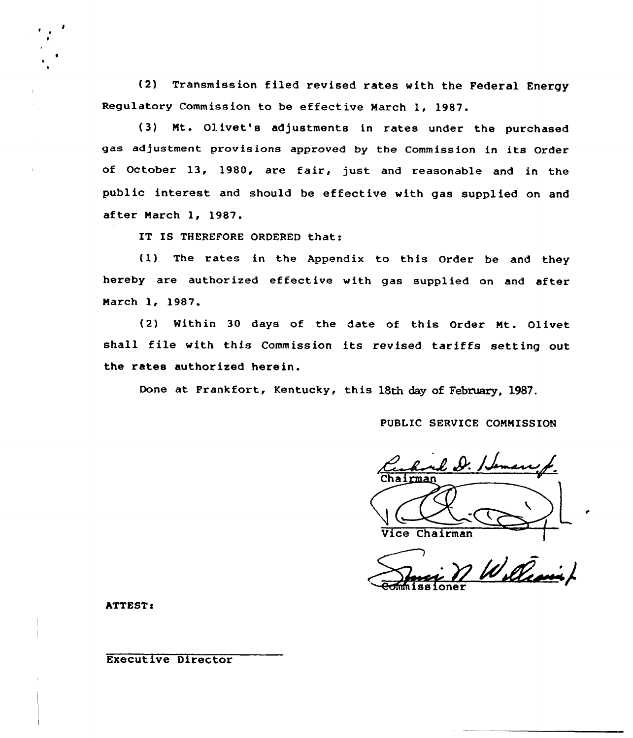(2) Transmission filed revised rates with the Federal Energy Regulatory Commission to be effective March 1, 1987.

(3) Nt. Olivet's adjustments in rates under the purchased gas adjustment provisions approved by the Commission in its Order of October 13, 1980, are fair, just and reasonable and in the public interest and should be effective with gas supplied on and after March 1, 1987.

IT IS THEREFORE ORDERED that:

{1) The rates in the Appendix to this Order be and they hereby are authorized effective with gas supplied on and after Narch 1, 1987.

(2) Within 30 days of the date of this Order Nt. Olivet shall file with this Commission its revised tariffs setting out the rates authorized herein.

Done at Frankfort, Kentucky, this 18th day of February. 1987.

PUBLIC SERVICE COMMISSION

Vice Chairman

**ATTEST:** 

Executive Director